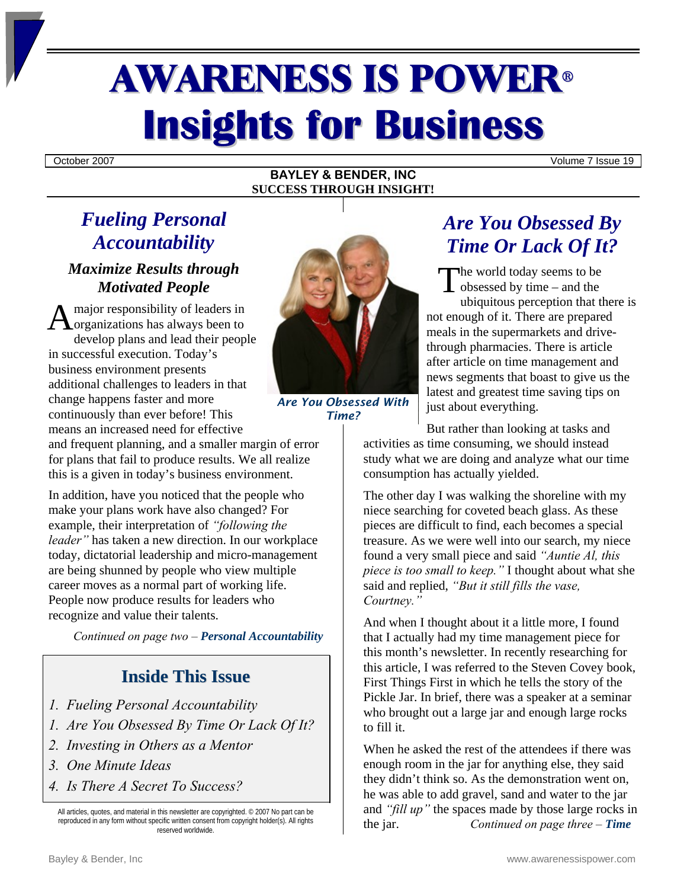# **AWARENESS IS POWER® Insights for Business**

October 2007 Volume 7 Issue 19

#### **BAYLEY & BENDER, INC SUCCESS THROUGH INSIGHT!**

### *Fueling Personal Accountability*

### *Maximize Results through Motivated People*

A major responsibility of leaders in<br>
A organizations has always been to organizations has always been to develop plans and lead their people in successful execution. Today's business environment presents additional challenges to leaders in that change happens faster and more continuously than ever before! This means an increased need for effective

and frequent planning, and a smaller margin of error for plans that fail to produce results. We all realize this is a given in today's business environment.

In addition, have you noticed that the people who make your plans work have also changed? For example, their interpretation of *"following the leader"* has taken a new direction. In our workplace today, dictatorial leadership and micro-management are being shunned by people who view multiple career moves as a normal part of working life. People now produce results for leaders who recognize and value their talents.

*Continued on page two – Personal Accountability*

### **Inside This Issue**

- *1. Fueling Personal Accountability*
- *1. Are You Obsessed By Time Or Lack Of It?*
- *2. Investing in Others as a Mentor*
- *3. One Minute Ideas*
- *4. Is There A Secret To Success?*

All articles, quotes, and material in this newsletter are copyrighted. © 2007 No part can be reproduced in any form without specific written consent from copyright holder(s). All rights reserved worldwide.

*Are You Obsessed With*

## *Time?*

### *Are You Obsessed By Time Or Lack Of It?*

he world today seems to be  $\sum$  he world today seems to be obsessed by time – and the ubiquitous perception that there is not enough of it. There are prepared meals in the supermarkets and drivethrough pharmacies. There is article after article on time management and news segments that boast to give us the latest and greatest time saving tips on just about everything.

But rather than looking at tasks and activities as time consuming, we should instead study what we are doing and analyze what our time consumption has actually yielded.

The other day I was walking the shoreline with my niece searching for coveted beach glass. As these pieces are difficult to find, each becomes a special treasure. As we were well into our search, my niece found a very small piece and said *"Auntie Al, this piece is too small to keep."* I thought about what she said and replied, *"But it still fills the vase, Courtney."* 

And when I thought about it a little more, I found that I actually had my time management piece for this month's newsletter. In recently researching for this article, I was referred to the Steven Covey book, First Things First in which he tells the story of the Pickle Jar. In brief, there was a speaker at a seminar who brought out a large jar and enough large rocks to fill it.

When he asked the rest of the attendees if there was enough room in the jar for anything else, they said they didn't think so. As the demonstration went on, he was able to add gravel, sand and water to the jar and *"fill up"* the spaces made by those large rocks in the jar. *Continued on page three – Time*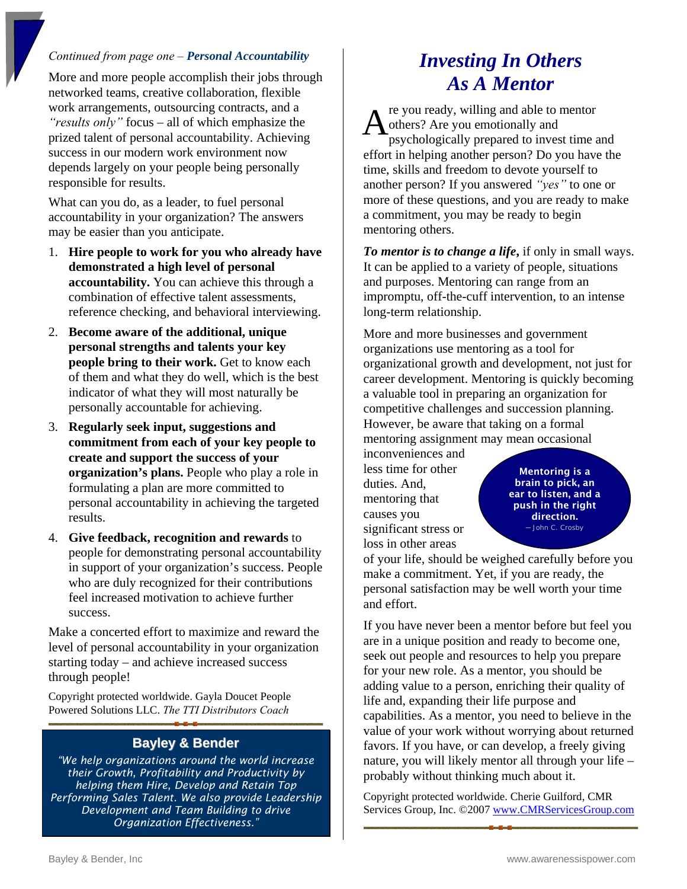#### *Continued from page one – Personal Accountability*

More and more people accomplish their jobs through networked teams, creative collaboration, flexible work arrangements, outsourcing contracts, and a *"results only"* focus – all of which emphasize the prized talent of personal accountability. Achieving success in our modern work environment now depends largely on your people being personally responsible for results.

What can you do, as a leader, to fuel personal accountability in your organization? The answers may be easier than you anticipate.

- 1. **Hire people to work for you who already have demonstrated a high level of personal accountability.** You can achieve this through a combination of effective talent assessments, reference checking, and behavioral interviewing.
- 2. **Become aware of the additional, unique personal strengths and talents your key people bring to their work.** Get to know each of them and what they do well, which is the best indicator of what they will most naturally be personally accountable for achieving.
- 3. **Regularly seek input, suggestions and commitment from each of your key people to create and support the success of your organization's plans.** People who play a role in formulating a plan are more committed to personal accountability in achieving the targeted results.
- 4. **Give feedback, recognition and rewards** to people for demonstrating personal accountability in support of your organization's success. People who are duly recognized for their contributions feel increased motivation to achieve further success.

Make a concerted effort to maximize and reward the level of personal accountability in your organization starting today – and achieve increased success through people!

Copyright protected worldwide. Gayla Doucet People Powered Solutions LLC. *The TTI Distributors Coach* 

#### **Bayley & Bender**

*"We help organizations around the world increase their Growth, Profitability and Productivity by helping them Hire, Develop and Retain Top Performing Sales Talent. We also provide Leadership Development and Team Building to drive Organization Effectiveness."*

### *Investing In Others As A Mentor*

re you ready, willing and able to mentor others? Are you emotionally and psychologically prepared to invest time and effort in helping another person? Do you have the time, skills and freedom to devote yourself to another person? If you answered *"yes"* to one or more of these questions, and you are ready to make a commitment, you may be ready to begin mentoring others. A

*To mentor is to change a life***,** if only in small ways. It can be applied to a variety of people, situations and purposes. Mentoring can range from an impromptu, off-the-cuff intervention, to an intense long-term relationship.

More and more businesses and government organizations use mentoring as a tool for organizational growth and development, not just for career development. Mentoring is quickly becoming a valuable tool in preparing an organization for competitive challenges and succession planning. However, be aware that taking on a formal mentoring assignment may mean occasional

inconveniences and less time for other duties. And, mentoring that causes you significant stress or loss in other areas

Mentoring is a brain to pick, an ear to listen, and a push in the right direction. *─* John C. Crosby

of your life, should be weighed carefully before you make a commitment. Yet, if you are ready, the personal satisfaction may be well worth your time and effort.

If you have never been a mentor before but feel you are in a unique position and ready to become one, seek out people and resources to help you prepare for your new role. As a mentor, you should be adding value to a person, enriching their quality of life and, expanding their life purpose and capabilities. As a mentor, you need to believe in the value of your work without worrying about returned favors. If you have, or can develop, a freely giving nature, you will likely mentor all through your life – probably without thinking much about it.

Copyright protected worldwide. Cherie Guilford, CMR Services Group, Inc. ©2007 [www.CMRServicesGroup.com](http://www.cmrservicesgroup.com/)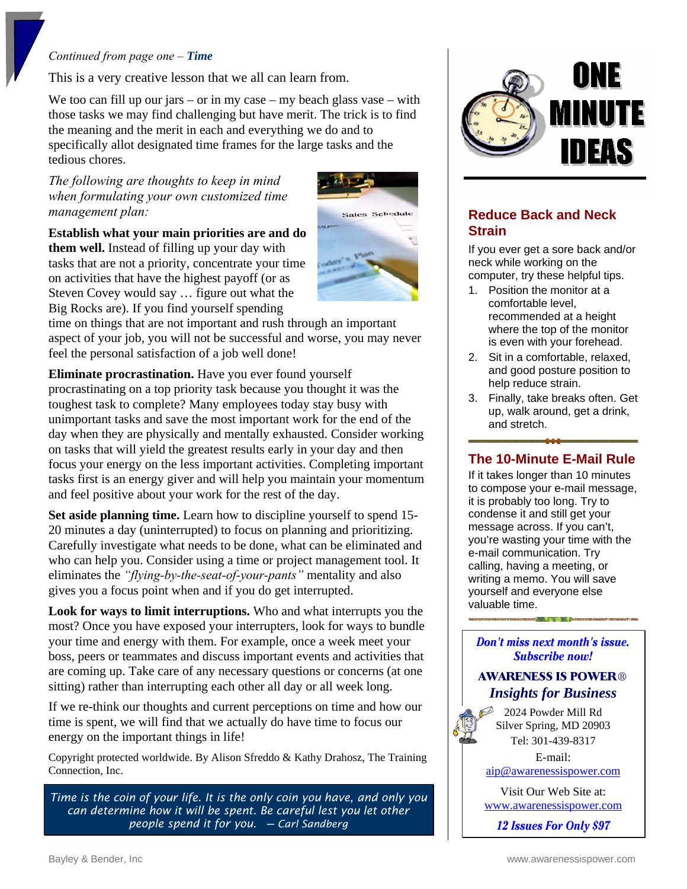#### *Continued from page one – Time*

This is a very creative lesson that we all can learn from.

We too can fill up our jars – or in my case – my beach glass vase – with those tasks we may find challenging but have merit. The trick is to find the meaning and the merit in each and everything we do and to specifically allot designated time frames for the large tasks and the tedious chores.

#### *The following are thoughts to keep in mind when formulating your own customized time management plan:*

**Establish what your main priorities are and do them well.** Instead of filling up your day with tasks that are not a priority, concentrate your time on activities that have the highest payoff (or as Steven Covey would say … figure out what the Big Rocks are). If you find yourself spending



time on things that are not important and rush through an important aspect of your job, you will not be successful and worse, you may never feel the personal satisfaction of a job well done!

**Eliminate procrastination.** Have you ever found yourself procrastinating on a top priority task because you thought it was the toughest task to complete? Many employees today stay busy with unimportant tasks and save the most important work for the end of the day when they are physically and mentally exhausted. Consider working on tasks that will yield the greatest results early in your day and then focus your energy on the less important activities. Completing important tasks first is an energy giver and will help you maintain your momentum and feel positive about your work for the rest of the day.

**Set aside planning time.** Learn how to discipline yourself to spend 15- 20 minutes a day (uninterrupted) to focus on planning and prioritizing. Carefully investigate what needs to be done, what can be eliminated and who can help you. Consider using a time or project management tool. It eliminates the *"flying-by-the-seat-of-your-pants"* mentality and also gives you a focus point when and if you do get interrupted.

**Look for ways to limit interruptions.** Who and what interrupts you the most? Once you have exposed your interrupters, look for ways to bundle your time and energy with them. For example, once a week meet your boss, peers or teammates and discuss important events and activities that are coming up. Take care of any necessary questions or concerns (at one sitting) rather than interrupting each other all day or all week long.

If we re-think our thoughts and current perceptions on time and how our time is spent, we will find that we actually do have time to focus our energy on the important things in life!

Copyright protected worldwide. By Alison Sfreddo & Kathy Drahosz, The Training Connection, Inc.

*Time is the coin of your life. It is the only coin you have, and only you can determine how it will be spent. Be careful lest you let other people spend it for you. ─ Carl Sandberg* 



### **Reduce Back and Neck Strain**

If you ever get a sore back and/or neck while working on the computer, try these helpful tips.

- 1. Position the monitor at a comfortable level, recommended at a height where the top of the monitor is even with your forehead.
- 2. Sit in a comfortable, relaxed, and good posture position to help reduce strain.
- 3. Finally, take breaks often. Get up, walk around, get a drink, and stretch.

### **The 10-Minute E-Mail Rule**

If it takes longer than 10 minutes to compose your e-mail message, it is probably too long. Try to condense it and still get your message across. If you can't, you're wasting your time with the e-mail communication. Try calling, having a meeting, or writing a memo. You will save yourself and everyone else valuable time.

Don't miss next month's issue. Subscribe now!

### **AWARENESS IS POWER®** *Insights for Business*

2024 Powder Mill Rd Silver Spring, MD 20903 Tel: 301-439-8317

E-mail: [aip@awarenessispower.com](mailto:aip@awarenessispower.com)

Visit Our Web Site at: [www.awarenessispower.com](http://www.awarenessispower.com/)

12 **Issues For Only \$97**